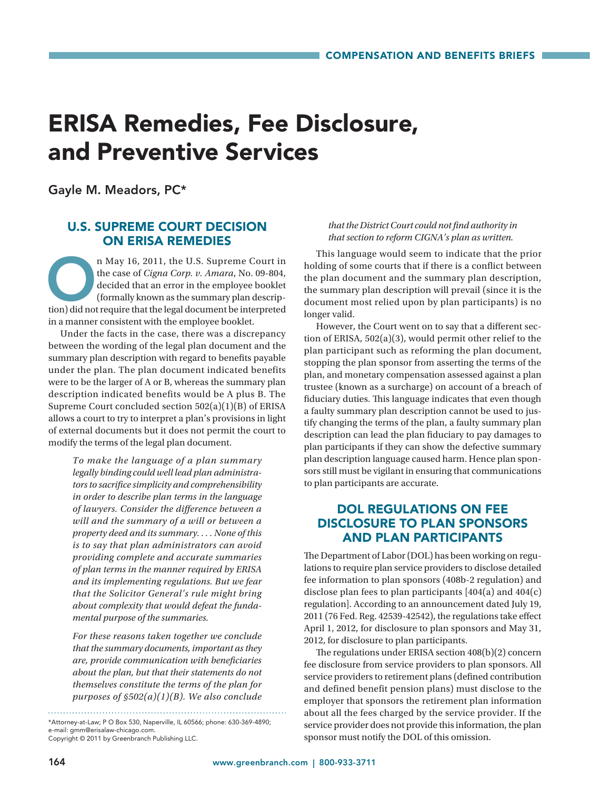# ERISA Remedies, Fee Disclosure, and Preventive Services

Gayle M. Meadors, PC\*

### U.S. SUPREME COURT DECISION ON ERISA REMEDIES

n May 16, 2011, the U.S. Supreme Court in<br>the case of *Cigna Corp. v. Amara*, No. 09-804,<br>decided that an error in the employee booklet<br>(formally known as the summary plan descrip-<br>tion) did not require that the legal docu the case of *Cigna Corp. v. Amara*, No. 09-804, decided that an error in the employee booklet (formally known as the summary plan description) did not require that the legal document be interpreted in a manner consistent with the employee booklet.

Under the facts in the case, there was a discrepancy between the wording of the legal plan document and the summary plan description with regard to benefits payable under the plan. The plan document indicated benefits were to be the larger of A or B, whereas the summary plan description indicated benefits would be A plus B. The Supreme Court concluded section 502(a)(1)(B) of ERISA allows a court to try to interpret a plan's provisions in light of external documents but it does not permit the court to modify the terms of the legal plan document.

> *To make the language of a plan summary legally binding could well lead plan administrators to sacrifice simplicity and comprehensibility in order to describe plan terms in the language of lawyers. Consider the difference between a will and the summary of a will or between a property deed and its summary. . . . None of this is to say that plan administrators can avoid providing complete and accurate summaries of plan terms in the manner required by ERISA and its implementing regulations. But we fear that the Solicitor General's rule might bring about complexity that would defeat the fundamental purpose of the summaries.*

> *For these reasons taken together we conclude that the summary documents, important as they are, provide communication with beneficiaries about the plan, but that their statements do not themselves constitute the terms of the plan for purposes of §502(a)(1)(B). We also conclude*

Copyright © 2011 by Greenbranch Publishing LLC.

#### *that the District Court could not find authority in that section to reform CIGNA's plan as written.*

This language would seem to indicate that the prior holding of some courts that if there is a conflict between the plan document and the summary plan description, the summary plan description will prevail (since it is the document most relied upon by plan participants) is no longer valid.

However, the Court went on to say that a different section of ERISA, 502(a)(3), would permit other relief to the plan participant such as reforming the plan document, stopping the plan sponsor from asserting the terms of the plan, and monetary compensation assessed against a plan trustee (known as a surcharge) on account of a breach of fiduciary duties. This language indicates that even though a faulty summary plan description cannot be used to justify changing the terms of the plan, a faulty summary plan description can lead the plan fiduciary to pay damages to plan participants if they can show the defective summary plan description language caused harm. Hence plan sponsors still must be vigilant in ensuring that communications to plan participants are accurate.

## DOL REGULATIONS ON FEE DISCLOSURE TO PLAN SPONSORS AND PLAN PARTICIPANTS

The Department of Labor (DOL) has been working on regulations to require plan service providers to disclose detailed fee information to plan sponsors (408b-2 regulation) and disclose plan fees to plan participants [404(a) and 404(c) regulation]. According to an announcement dated July 19, 2011 (76 Fed. Reg. 42539-42542), the regulations take effect April 1, 2012, for disclosure to plan sponsors and May 31, 2012, for disclosure to plan participants.

The regulations under ERISA section 408(b)(2) concern fee disclosure from service providers to plan sponsors. All service providers to retirement plans (defined contribution and defined benefit pension plans) must disclose to the employer that sponsors the retirement plan information about all the fees charged by the service provider. If the service provider does not provide this information, the plan sponsor must notify the DOL of this omission.

<sup>\*</sup>Attorney-at-Law; P O Box 530, Naperville, IL 60566; phone: 630-369-4890; e-mail: gmm@erisalaw-chicago.com.